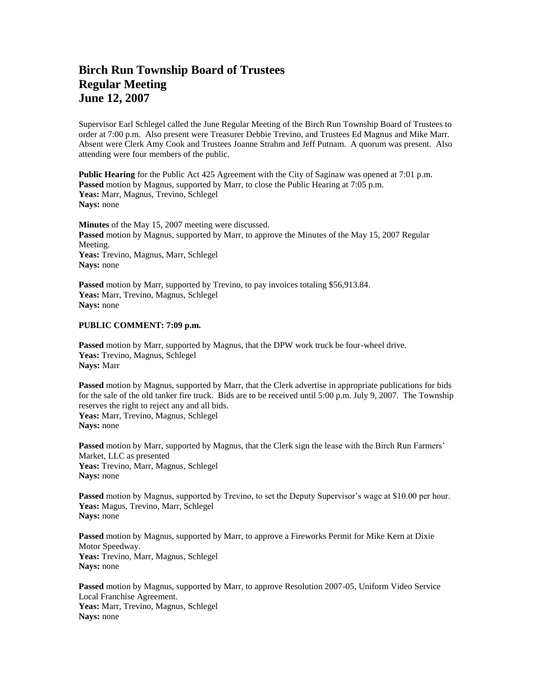## **Birch Run Township Board of Trustees Regular Meeting June 12, 2007**

Supervisor Earl Schlegel called the June Regular Meeting of the Birch Run Township Board of Trustees to order at 7:00 p.m. Also present were Treasurer Debbie Trevino, and Trustees Ed Magnus and Mike Marr. Absent were Clerk Amy Cook and Trustees Joanne Strahm and Jeff Putnam. A quorum was present. Also attending were four members of the public.

**Public Hearing** for the Public Act 425 Agreement with the City of Saginaw was opened at 7:01 p.m. **Passed** motion by Magnus, supported by Marr, to close the Public Hearing at 7:05 p.m. **Yeas:** Marr, Magnus, Trevino, Schlegel **Nays:** none

**Minutes** of the May 15, 2007 meeting were discussed. **Passed** motion by Magnus, supported by Marr, to approve the Minutes of the May 15, 2007 Regular Meeting. **Yeas:** Trevino, Magnus, Marr, Schlegel **Nays:** none

**Passed** motion by Marr, supported by Trevino, to pay invoices totaling \$56,913.84. **Yeas:** Marr, Trevino, Magnus, Schlegel **Nays:** none

## **PUBLIC COMMENT: 7:09 p.m.**

**Passed** motion by Marr, supported by Magnus, that the DPW work truck be four-wheel drive. **Yeas:** Trevino, Magnus, Schlegel **Nays:** Marr

**Passed** motion by Magnus, supported by Marr, that the Clerk advertise in appropriate publications for bids for the sale of the old tanker fire truck. Bids are to be received until 5:00 p.m. July 9, 2007. The Township reserves the right to reject any and all bids. **Yeas:** Marr, Trevino, Magnus, Schlegel **Nays:** none

**Passed** motion by Marr, supported by Magnus, that the Clerk sign the lease with the Birch Run Farmers' Market, LLC as presented **Yeas:** Trevino, Marr, Magnus, Schlegel **Nays:** none

**Passed** motion by Magnus, supported by Trevino, to set the Deputy Supervisor's wage at \$10.00 per hour. **Yeas:** Magus, Trevino, Marr, Schlegel **Nays:** none

**Passed** motion by Magnus, supported by Marr, to approve a Fireworks Permit for Mike Kern at Dixie Motor Speedway. **Yeas:** Trevino, Marr, Magnus, Schlegel **Nays:** none

**Passed** motion by Magnus, supported by Marr, to approve Resolution 2007-05, Uniform Video Service Local Franchise Agreement. **Yeas:** Marr, Trevino, Magnus, Schlegel **Nays:** none